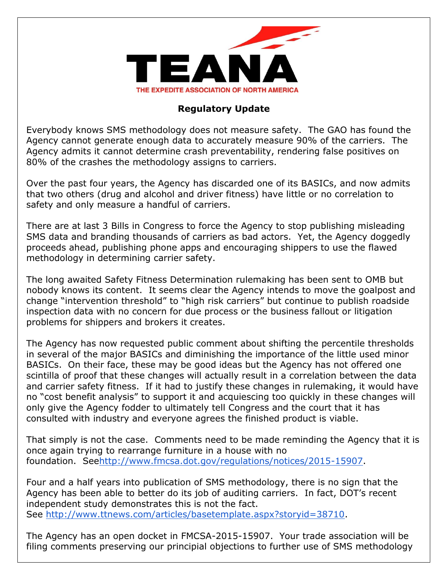

## **Regulatory Update**

Everybody knows SMS methodology does not measure safety. The GAO has found the Agency cannot generate enough data to accurately measure 90% of the carriers. The Agency admits it cannot determine crash preventability, rendering false positives on 80% of the crashes the methodology assigns to carriers.

Over the past four years, the Agency has discarded one of its BASICs, and now admits that two others (drug and alcohol and driver fitness) have little or no correlation to safety and only measure a handful of carriers.

There are at last 3 Bills in Congress to force the Agency to stop publishing misleading SMS data and branding thousands of carriers as bad actors. Yet, the Agency doggedly proceeds ahead, publishing phone apps and encouraging shippers to use the flawed methodology in determining carrier safety.

The long awaited Safety Fitness Determination rulemaking has been sent to OMB but nobody knows its content. It seems clear the Agency intends to move the goalpost and change "intervention threshold" to "high risk carriers" but continue to publish roadside inspection data with no concern for due process or the business fallout or litigation problems for shippers and brokers it creates.

The Agency has now requested public comment about shifting the percentile thresholds in several of the major BASICs and diminishing the importance of the little used minor BASICs. On their face, these may be good ideas but the Agency has not offered one scintilla of proof that these changes will actually result in a correlation between the data and carrier safety fitness. If it had to justify these changes in rulemaking, it would have no "cost benefit analysis" to support it and acquiescing too quickly in these changes will only give the Agency fodder to ultimately tell Congress and the court that it has consulted with industry and everyone agrees the finished product is viable.

That simply is not the case. Comments need to be made reminding the Agency that it is once again trying to rearrange furniture in a house with no foundation. Se[ehttp://www.fmcsa.dot.gov/regulations/notices/2015-15907.](http://www.fmcsa.dot.gov/regulations/notices/2015-15907)

Four and a half years into publication of SMS methodology, there is no sign that the Agency has been able to better do its job of auditing carriers. In fact, DOT's recent independent study demonstrates this is not the fact. See [http://www.ttnews.com/articles/basetemplate.aspx?storyid=38710.](http://www.ttnews.com/articles/basetemplate.aspx?storyid=38710)

The Agency has an open docket in FMCSA-2015-15907. Your trade association will be filing comments preserving our principial objections to further use of SMS methodology